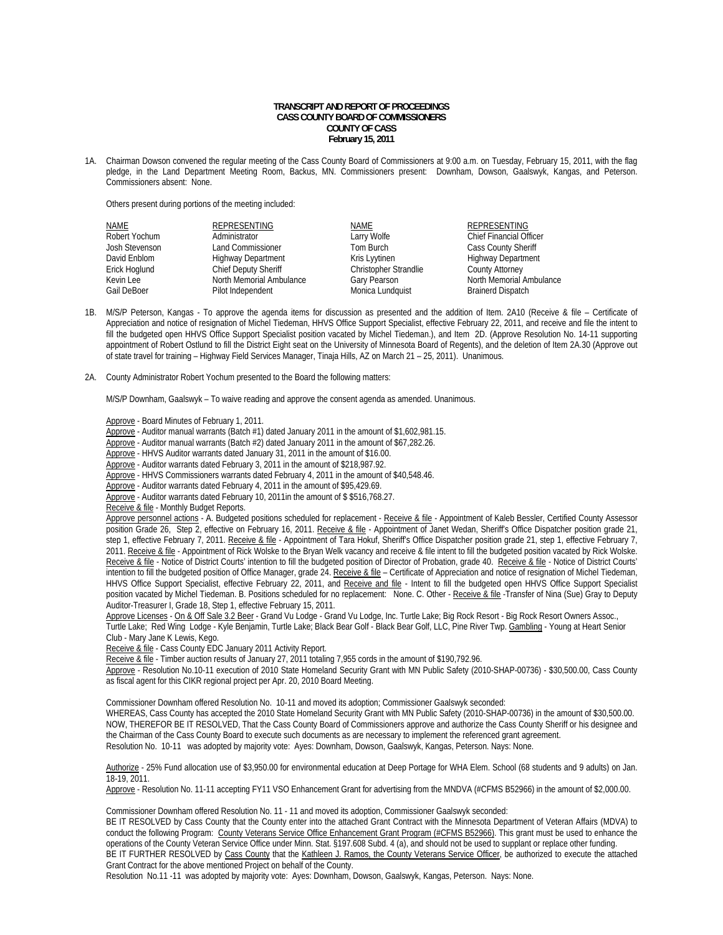# **TRANSCRIPT AND REPORT OF PROCEEDINGS CASS COUNTY BOARD OF COMMISSIONERS COUNTY OF CASS February 15, 2011**

1A. Chairman Dowson convened the regular meeting of the Cass County Board of Commissioners at 9:00 a.m. on Tuesday, February 15, 2011, with the flag pledge, in the Land Department Meeting Room, Backus, MN. Commissioners present: Downham, Dowson, Gaalswyk, Kangas, and Peterson. Commissioners absent: None.

Others present during portions of the meeting included:

| REPRESENTING                                                                    | <b>NAME</b>           | <b>REPRESENTING</b>            |
|---------------------------------------------------------------------------------|-----------------------|--------------------------------|
| Administrator                                                                   | Larry Wolfe           | <b>Chief Financial Officer</b> |
| Land Commissioner                                                               | Tom Burch             | <b>Cass County Sheriff</b>     |
| <b>Highway Department</b>                                                       | Kris Lyytinen         | <b>Highway Department</b>      |
| <b>Chief Deputy Sheriff</b>                                                     | Christopher Strandlie | <b>County Attorney</b>         |
| North Memorial Ambulance                                                        | Gary Pearson          | North Memorial Ambulance       |
| Pilot Independent                                                               | Monica Lundquist      | <b>Brainerd Dispatch</b>       |
| Robert Yochum<br>Josh Stevenson<br>David Enblom<br>Erick Hoglund<br>Gail DeBoer |                       |                                |

- 1B. M/S/P Peterson, Kangas To approve the agenda items for discussion as presented and the addition of Item. 2A10 (Receive & file Certificate of Appreciation and notice of resignation of Michel Tiedeman, HHVS Office Support Specialist, effective February 22, 2011, and receive and file the intent to fill the budgeted open HHVS Office Support Specialist position vacated by Michel Tiedeman.), and Item 2D. (Approve Resolution No. 14-11 supporting appointment of Robert Ostlund to fill the District Eight seat on the University of Minnesota Board of Regents), and the deletion of Item 2A.30 (Approve out of state travel for training – Highway Field Services Manager, Tinaja Hills, AZ on March 21 – 25, 2011). Unanimous.
- 2A. County Administrator Robert Yochum presented to the Board the following matters:

M/S/P Downham, Gaalswyk – To waive reading and approve the consent agenda as amended. Unanimous.

Approve - Board Minutes of February 1, 2011.

Approve - Auditor manual warrants (Batch #1) dated January 2011 in the amount of \$1,602,981.15.

Approve - Auditor manual warrants (Batch #2) dated January 2011 in the amount of \$67,282.26.

Approve - HHVS Auditor warrants dated January 31, 2011 in the amount of \$16.00.

Approve - Auditor warrants dated February 3, 2011 in the amount of \$218,987.92.

Approve - HHVS Commissioners warrants dated February 4, 2011 in the amount of \$40,548.46.

Approve - Auditor warrants dated February 4, 2011 in the amount of \$95,429.69.

Approve - Auditor warrants dated February 10, 2011in the amount of \$ \$516,768.27.

Receive & file - Monthly Budget Reports.

Approve personnel actions - A. Budgeted positions scheduled for replacement - Receive & file - Appointment of Kaleb Bessler, Certified County Assessor position Grade 26, Step 2, effective on February 16, 2011. Receive & file - Appointment of Janet Wedan, Sheriff's Office Dispatcher position grade 21, step 1, effective February 7, 2011. Receive & file - Appointment of Tara Hokuf, Sheriff's Office Dispatcher position grade 21, step 1, effective February 7, 2011. Receive & file - Appointment of Rick Wolske to the Bryan Welk vacancy and receive & file intent to fill the budgeted position vacated by Rick Wolske. Receive & file - Notice of District Courts' intention to fill the budgeted position of Director of Probation, grade 40. Receive & file - Notice of District Courts' intention to fill the budgeted position of Office Manager, grade 24. Receive & file - Certificate of Appreciation and notice of resignation of Michel Tiedeman, HHVS Office Support Specialist, effective February 22, 2011, and Receive and file - Intent to fill the budgeted open HHVS Office Support Specialist position vacated by Michel Tiedeman. B. Positions scheduled for no replacement: None. C. Other - Receive & file -Transfer of Nina (Sue) Gray to Deputy Auditor-Treasurer I, Grade 18, Step 1, effective February 15, 2011.

Approve Licenses - On & Off Sale 3.2 Beer - Grand Vu Lodge - Grand Vu Lodge, Inc. Turtle Lake; Big Rock Resort - Big Rock Resort Owners Assoc.,

Turtle Lake; Red Wing Lodge - Kyle Benjamin, Turtle Lake; Black Bear Golf - Black Bear Golf, LLC, Pine River Twp. Gambling - Young at Heart Senior Club - Mary Jane K Lewis, Kego.

Receive & file - Cass County EDC January 2011 Activity Report.

Receive & file - Timber auction results of January 27, 2011 totaling 7,955 cords in the amount of \$190,792.96.

 Approve - Resolution No.10-11 execution of 2010 State Homeland Security Grant with MN Public Safety (2010-SHAP-00736) - \$30,500.00, Cass County as fiscal agent for this CIKR regional project per Apr. 20, 2010 Board Meeting.

Commissioner Downham offered Resolution No. 10-11 and moved its adoption; Commissioner Gaalswyk seconded:

WHEREAS, Cass County has accepted the 2010 State Homeland Security Grant with MN Public Safety (2010-SHAP-00736) in the amount of \$30,500.00. NOW, THEREFOR BE IT RESOLVED, That the Cass County Board of Commissioners approve and authorize the Cass County Sheriff or his designee and the Chairman of the Cass County Board to execute such documents as are necessary to implement the referenced grant agreement. Resolution No. 10-11 was adopted by majority vote: Ayes: Downham, Dowson, Gaalswyk, Kangas, Peterson. Nays: None.

Authorize - 25% Fund allocation use of \$3,950.00 for environmental education at Deep Portage for WHA Elem. School (68 students and 9 adults) on Jan. 18-19, 2011.

Approve - Resolution No. 11-11 accepting FY11 VSO Enhancement Grant for advertising from the MNDVA (#CFMS B52966) in the amount of \$2,000.00.

Commissioner Downham offered Resolution No. 11 - 11 and moved its adoption, Commissioner Gaalswyk seconded:

BE IT RESOLVED by Cass County that the County enter into the attached Grant Contract with the Minnesota Department of Veteran Affairs (MDVA) to conduct the following Program: County Veterans Service Office Enhancement Grant Program (#CFMS B52966). This grant must be used to enhance the operations of the County Veteran Service Office under Minn. Stat. §197.608 Subd. 4 (a), and should not be used to supplant or replace other funding. BE IT FURTHER RESOLVED by Cass County that the Kathleen J. Ramos, the County Veterans Service Officer, be authorized to execute the attached Grant Contract for the above mentioned Project on behalf of the County.

Resolution No.11 -11 was adopted by majority vote: Ayes: Downham, Dowson, Gaalswyk, Kangas, Peterson. Nays: None.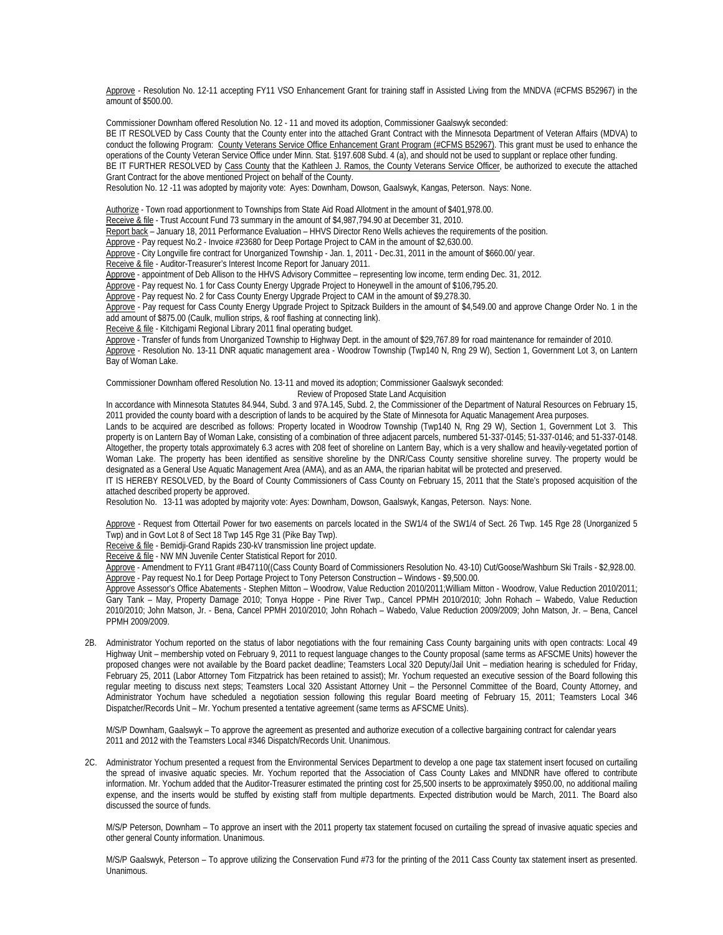Approve - Resolution No. 12-11 accepting FY11 VSO Enhancement Grant for training staff in Assisted Living from the MNDVA (#CFMS B52967) in the amount of \$500.00.

Commissioner Downham offered Resolution No. 12 - 11 and moved its adoption, Commissioner Gaalswyk seconded:

BE IT RESOLVED by Cass County that the County enter into the attached Grant Contract with the Minnesota Department of Veteran Affairs (MDVA) to conduct the following Program: County Veterans Service Office Enhancement Grant Program (#CFMS B52967). This grant must be used to enhance the operations of the County Veteran Service Office under Minn. Stat. §197.608 Subd. 4 (a), and should not be used to supplant or replace other funding. BE IT FURTHER RESOLVED by Cass County that the Kathleen J. Ramos, the County Veterans Service Officer, be authorized to execute the attached Grant Contract for the above mentioned Project on behalf of the County.

Resolution No. 12 -11 was adopted by majority vote: Ayes: Downham, Dowson, Gaalswyk, Kangas, Peterson. Nays: None.

Authorize - Town road apportionment to Townships from State Aid Road Allotment in the amount of \$401,978.00.

Receive & file - Trust Account Fund 73 summary in the amount of \$4,987,794.90 at December 31, 2010.

Report back – January 18, 2011 Performance Evaluation – HHVS Director Reno Wells achieves the requirements of the position.

Approve - Pay request No.2 - Invoice #23680 for Deep Portage Project to CAM in the amount of \$2,630.00.

Approve - City Longville fire contract for Unorganized Township - Jan. 1, 2011 - Dec.31, 2011 in the amount of \$660.00/ year.

Receive & file - Auditor-Treasurer's Interest Income Report for January 2011.

Approve - appointment of Deb Allison to the HHVS Advisory Committee – representing low income, term ending Dec. 31, 2012.

Approve - Pay request No. 1 for Cass County Energy Upgrade Project to Honeywell in the amount of \$106,795.20.

Approve - Pay request No. 2 for Cass County Energy Upgrade Project to CAM in the amount of \$9,278.30.

 Approve - Pay request for Cass County Energy Upgrade Project to Spitzack Builders in the amount of \$4,549.00 and approve Change Order No. 1 in the add amount of \$875.00 (Caulk, mullion strips, & roof flashing at connecting link).

Receive & file - Kitchigami Regional Library 2011 final operating budget.

 Approve - Transfer of funds from Unorganized Township to Highway Dept. in the amount of \$29,767.89 for road maintenance for remainder of 2010. Approve - Resolution No. 13-11 DNR aquatic management area - Woodrow Township (Twp140 N, Rng 29 W), Section 1, Government Lot 3, on Lantern Bay of Woman Lake.

Commissioner Downham offered Resolution No. 13-11 and moved its adoption; Commissioner Gaalswyk seconded:

Review of Proposed State Land Acquisition

In accordance with Minnesota Statutes 84.944, Subd. 3 and 97A.145, Subd. 2, the Commissioner of the Department of Natural Resources on February 15, 2011 provided the county board with a description of lands to be acquired by the State of Minnesota for Aquatic Management Area purposes.

Lands to be acquired are described as follows: Property located in Woodrow Township (Twp140 N, Rng 29 W), Section 1, Government Lot 3. This property is on Lantern Bay of Woman Lake, consisting of a combination of three adjacent parcels, numbered 51-337-0145; 51-337-0146; and 51-337-0148. Altogether, the property totals approximately 6.3 acres with 208 feet of shoreline on Lantern Bay, which is a very shallow and heavily-vegetated portion of Woman Lake. The property has been identified as sensitive shoreline by the DNR/Cass County sensitive shoreline survey. The property would be designated as a General Use Aquatic Management Area (AMA), and as an AMA, the riparian habitat will be protected and preserved.

IT IS HEREBY RESOLVED, by the Board of County Commissioners of Cass County on February 15, 2011 that the State's proposed acquisition of the attached described property be approved.

Resolution No. 13-11 was adopted by majority vote: Ayes: Downham, Dowson, Gaalswyk, Kangas, Peterson. Nays: None.

 Approve - Request from Ottertail Power for two easements on parcels located in the SW1/4 of the SW1/4 of Sect. 26 Twp. 145 Rge 28 (Unorganized 5 Twp) and in Govt Lot 8 of Sect 18 Twp 145 Rge 31 (Pike Bay Twp).

Receive & file - Bemidji-Grand Rapids 230-kV transmission line project update.

Receive & file - NW MN Juvenile Center Statistical Report for 2010.

 Approve - Amendment to FY11 Grant #B47110((Cass County Board of Commissioners Resolution No. 43-10) Cut/Goose/Washburn Ski Trails - \$2,928.00. Approve - Pay request No.1 for Deep Portage Project to Tony Peterson Construction - Windows - \$9,500.00.

Approve Assessor's Office Abatements - Stephen Mitton – Woodrow, Value Reduction 2010/2011;William Mitton - Woodrow, Value Reduction 2010/2011; Gary Tank – May, Property Damage 2010; Tonya Hoppe - Pine River Twp., Cancel PPMH 2010/2010; John Rohach – Wabedo, Value Reduction 2010/2010; John Matson, Jr. - Bena, Cancel PPMH 2010/2010; John Rohach – Wabedo, Value Reduction 2009/2009; John Matson, Jr. – Bena, Cancel PPMH 2009/2009.

2B. Administrator Yochum reported on the status of labor negotiations with the four remaining Cass County bargaining units with open contracts: Local 49 Highway Unit – membership voted on February 9, 2011 to request language changes to the County proposal (same terms as AFSCME Units) however the proposed changes were not available by the Board packet deadline; Teamsters Local 320 Deputy/Jail Unit – mediation hearing is scheduled for Friday, February 25, 2011 (Labor Attorney Tom Fitzpatrick has been retained to assist); Mr. Yochum requested an executive session of the Board following this regular meeting to discuss next steps; Teamsters Local 320 Assistant Attorney Unit – the Personnel Committee of the Board, County Attorney, and Administrator Yochum have scheduled a negotiation session following this regular Board meeting of February 15, 2011; Teamsters Local 346 Dispatcher/Records Unit – Mr. Yochum presented a tentative agreement (same terms as AFSCME Units).

 M/S/P Downham, Gaalswyk – To approve the agreement as presented and authorize execution of a collective bargaining contract for calendar years 2011 and 2012 with the Teamsters Local #346 Dispatch/Records Unit. Unanimous.

2C. Administrator Yochum presented a request from the Environmental Services Department to develop a one page tax statement insert focused on curtailing the spread of invasive aquatic species. Mr. Yochum reported that the Association of Cass County Lakes and MNDNR have offered to contribute information. Mr. Yochum added that the Auditor-Treasurer estimated the printing cost for 25,500 inserts to be approximately \$950.00, no additional mailing expense, and the inserts would be stuffed by existing staff from multiple departments. Expected distribution would be March, 2011. The Board also discussed the source of funds.

 M/S/P Peterson, Downham – To approve an insert with the 2011 property tax statement focused on curtailing the spread of invasive aquatic species and other general County information. Unanimous.

 M/S/P Gaalswyk, Peterson – To approve utilizing the Conservation Fund #73 for the printing of the 2011 Cass County tax statement insert as presented. Unanimous.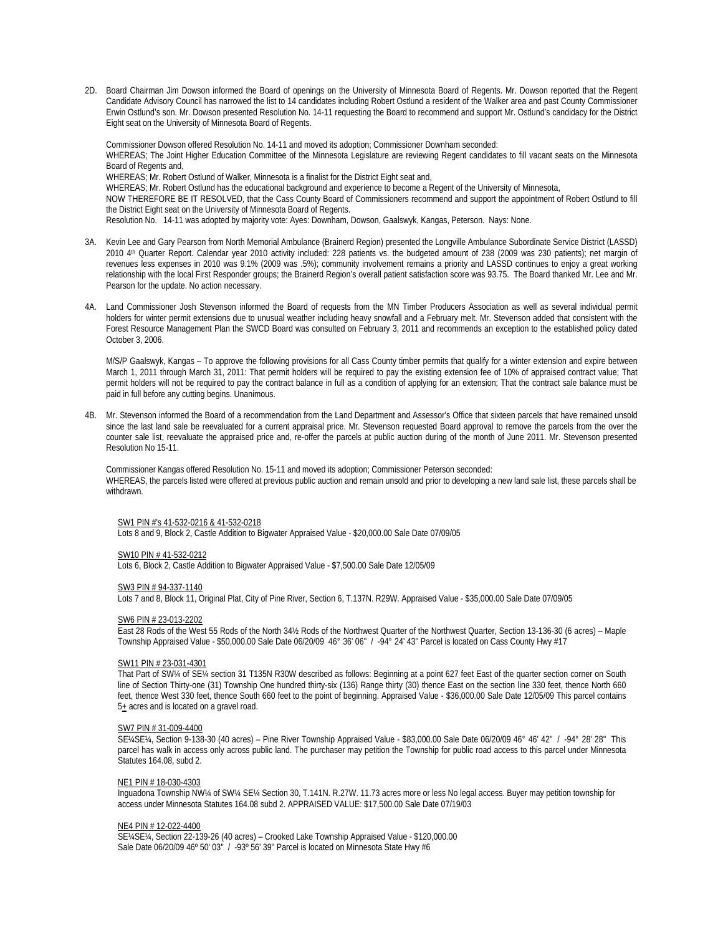2D. Board Chairman Jim Dowson informed the Board of openings on the University of Minnesota Board of Regents. Mr. Dowson reported that the Regent Candidate Advisory Council has narrowed the list to 14 candidates including Robert Ostlund a resident of the Walker area and past County Commissioner Erwin Ostlund's son. Mr. Dowson presented Resolution No. 14-11 requesting the Board to recommend and support Mr. Ostlund's candidacy for the District Eight seat on the University of Minnesota Board of Regents.

Commissioner Dowson offered Resolution No. 14-11 and moved its adoption; Commissioner Downham seconded: WHEREAS; The Joint Higher Education Committee of the Minnesota Legislature are reviewing Regent candidates to fill vacant seats on the Minnesota Board of Regents and, WHEREAS; Mr. Robert Ostlund of Walker, Minnesota is a finalist for the District Eight seat and, WHEREAS; Mr. Robert Ostlund has the educational background and experience to become a Regent of the University of Minnesota, NOW THEREFORE BE IT RESOLVED, that the Cass County Board of Commissioners recommend and support the appointment of Robert Ostlund to fill the District Eight seat on the University of Minnesota Board of Regents. Resolution No. 14-11 was adopted by majority vote: Ayes: Downham, Dowson, Gaalswyk, Kangas, Peterson. Nays: None.

- 3A. Kevin Lee and Gary Pearson from North Memorial Ambulance (Brainerd Region) presented the Longville Ambulance Subordinate Service District (LASSD) 2010 4th Quarter Report. Calendar year 2010 activity included: 228 patients vs. the budgeted amount of 238 (2009 was 230 patients); net margin of revenues less expenses in 2010 was 9.1% (2009 was .5%); community involvement remains a priority and LASSD continues to enjoy a great working relationship with the local First Responder groups; the Brainerd Region's overall patient satisfaction score was 93.75. The Board thanked Mr. Lee and Mr. Pearson for the update. No action necessary.
- 4A. Land Commissioner Josh Stevenson informed the Board of requests from the MN Timber Producers Association as well as several individual permit holders for winter permit extensions due to unusual weather including heavy snowfall and a February melt. Mr. Stevenson added that consistent with the Forest Resource Management Plan the SWCD Board was consulted on February 3, 2011 and recommends an exception to the established policy dated October 3, 2006.

 M/S/P Gaalswyk, Kangas – To approve the following provisions for all Cass County timber permits that qualify for a winter extension and expire between March 1, 2011 through March 31, 2011: That permit holders will be required to pay the existing extension fee of 10% of appraised contract value; That permit holders will not be required to pay the contract balance in full as a condition of applying for an extension; That the contract sale balance must be paid in full before any cutting begins. Unanimous.

4B. Mr. Stevenson informed the Board of a recommendation from the Land Department and Assessor's Office that sixteen parcels that have remained unsold since the last land sale be reevaluated for a current appraisal price. Mr. Stevenson requested Board approval to remove the parcels from the over the counter sale list, reevaluate the appraised price and, re-offer the parcels at public auction during of the month of June 2011. Mr. Stevenson presented Resolution No 15-11.

Commissioner Kangas offered Resolution No. 15-11 and moved its adoption; Commissioner Peterson seconded: WHEREAS, the parcels listed were offered at previous public auction and remain unsold and prior to developing a new land sale list, these parcels shall be withdrawn.

# SW1 PIN #'s 41-532-0216 & 41-532-0218

Lots 8 and 9, Block 2, Castle Addition to Bigwater Appraised Value - \$20,000.00 Sale Date 07/09/05

# SW10 PIN # 41-532-0212

Lots 6, Block 2, Castle Addition to Bigwater Appraised Value - \$7,500.00 Sale Date 12/05/09

# SW3 PIN # 94-337-1140

Lots 7 and 8, Block 11, Original Plat, City of Pine River, Section 6, T.137N. R29W. Appraised Value - \$35,000.00 Sale Date 07/09/05

### SW6 PIN # 23-013-2202

East 28 Rods of the West 55 Rods of the North 34½ Rods of the Northwest Quarter of the Northwest Quarter, Section 13-136-30 (6 acres) – Maple Township Appraised Value - \$50,000.00 Sale Date 06/20/09 46° 36' 06'' / -94° 24' 43'' Parcel is located on Cass County Hwy #17

# SW11 PIN # 23-031-4301

That Part of SW¼ of SE¼ section 31 T135N R30W described as follows: Beginning at a point 627 feet East of the quarter section corner on South line of Section Thirty-one (31) Township One hundred thirty-six (136) Range thirty (30) thence East on the section line 330 feet, thence North 660 feet, thence West 330 feet, thence South 660 feet to the point of beginning. Appraised Value - \$36,000.00 Sale Date 12/05/09 This parcel contains  $5<sub>±</sub>$  acres and is located on a gravel road.

### SW7 PIN # 31-009-4400

SE¼SE¼, Section 9-138-30 (40 acres) – Pine River Township Appraised Value - \$83,000.00 Sale Date 06/20/09 46° 46' 42'' / -94° 28' 28'' This parcel has walk in access only across public land. The purchaser may petition the Township for public road access to this parcel under Minnesota Statutes 164.08, subd 2.

# NE1 PIN # 18-030-4303

Inguadona Township NW¼ of SW¼ SE¼ Section 30, T.141N. R.27W. 11.73 acres more or less No legal access. Buyer may petition township for access under Minnesota Statutes 164.08 subd 2. APPRAISED VALUE: \$17,500.00 Sale Date 07/19/03

## NE4 PIN # 12-022-4400

SE¼SE¼, Section 22-139-26 (40 acres) – Crooked Lake Township Appraised Value - \$120,000.00 Sale Date 06/20/09 46º 50' 03'' / -93º 56' 39'' Parcel is located on Minnesota State Hwy #6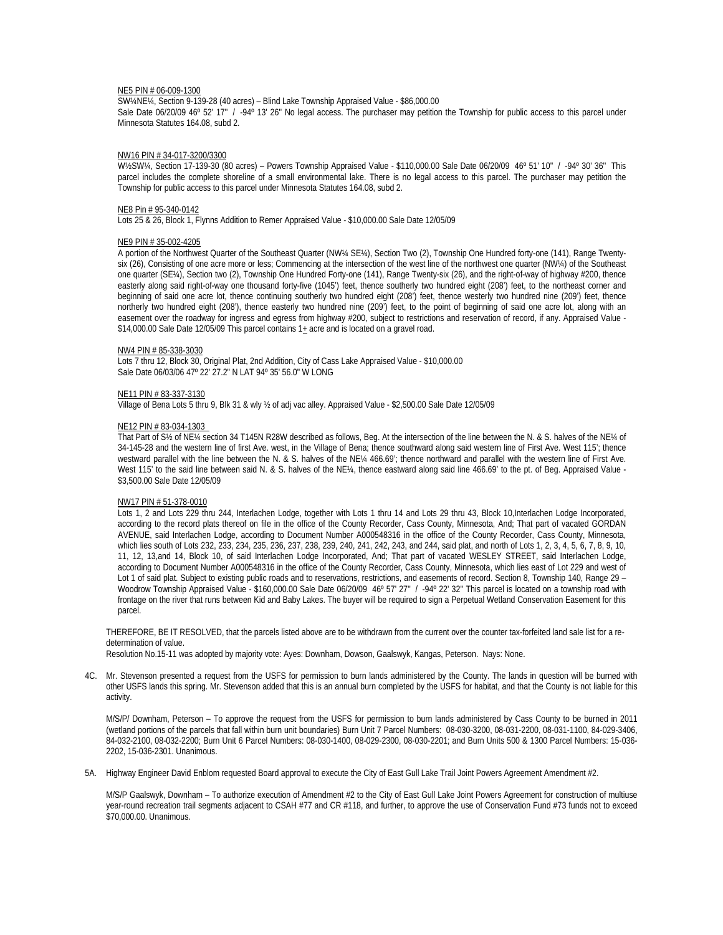# NE5 PIN # 06-009-1300

SW¼NE¼, Section 9-139-28 (40 acres) – Blind Lake Township Appraised Value - \$86,000.00 Sale Date 06/20/09 46° 52' 17" / -94° 13' 26" No legal access. The purchaser may petition the Township for public access to this parcel under Minnesota Statutes 164.08, subd 2.

## NW16 PIN # 34-017-3200/3300

W½SW¼, Section 17-139-30 (80 acres) – Powers Township Appraised Value - \$110,000.00 Sale Date 06/20/09 46º 51' 10'' / -94º 30' 36'' This parcel includes the complete shoreline of a small environmental lake. There is no legal access to this parcel. The purchaser may petition the Township for public access to this parcel under Minnesota Statutes 164.08, subd 2.

### NE8 Pin # 95-340-0142

Lots 25 & 26, Block 1, Flynns Addition to Remer Appraised Value - \$10,000.00 Sale Date 12/05/09

### NE9 PIN # 35-002-4205

A portion of the Northwest Quarter of the Southeast Quarter (NW¼ SE¼), Section Two (2), Township One Hundred forty-one (141), Range Twentysix (26), Consisting of one acre more or less; Commencing at the intersection of the west line of the northwest one quarter (NW¼) of the Southeast one quarter (SE¼), Section two (2), Township One Hundred Forty-one (141), Range Twenty-six (26), and the right-of-way of highway #200, thence easterly along said right-of-way one thousand forty-five (1045') feet, thence southerly two hundred eight (208') feet, to the northeast corner and beginning of said one acre lot, thence continuing southerly two hundred eight (208') feet, thence westerly two hundred nine (209') feet, thence northerly two hundred eight (208'), thence easterly two hundred nine (209') feet, to the point of beginning of said one acre lot, along with an easement over the roadway for ingress and egress from highway #200, subject to restrictions and reservation of record, if any. Appraised Value - $$14,000.00$  Sale Date 12/05/09 This parcel contains  $1<sub>±</sub>$  acre and is located on a gravel road.

# NW4 PIN # 85-338-3030

Lots 7 thru 12, Block 30, Original Plat, 2nd Addition, City of Cass Lake Appraised Value - \$10,000.00 Sale Date 06/03/06 47º 22' 27.2" N LAT 94º 35' 56.0" W LONG

### NE11 PIN # 83-337-3130

Village of Bena Lots 5 thru 9, Blk 31 & wly ½ of adj vac alley. Appraised Value - \$2,500.00 Sale Date 12/05/09

## NE12 PIN # 83-034-1303

That Part of S½ of NE¼ section 34 T145N R28W described as follows, Beg. At the intersection of the line between the N. & S. halves of the NE¼ of 34-145-28 and the western line of first Ave. west, in the Village of Bena; thence southward along said western line of First Ave. West 115'; thence westward parallel with the line between the N. & S. halves of the NE¼ 466.69'; thence northward and parallel with the western line of First Ave. West 115' to the said line between said N. & S. halves of the NE¼, thence eastward along said line 466.69' to the pt. of Beg. Appraised Value -\$3,500.00 Sale Date 12/05/09

### NW17 PIN # 51-378-0010

Lots 1, 2 and Lots 229 thru 244, Interlachen Lodge, together with Lots 1 thru 14 and Lots 29 thru 43, Block 10,Interlachen Lodge Incorporated, according to the record plats thereof on file in the office of the County Recorder, Cass County, Minnesota, And; That part of vacated GORDAN AVENUE, said Interlachen Lodge, according to Document Number A000548316 in the office of the County Recorder, Cass County, Minnesota, which lies south of Lots 232, 233, 234, 235, 236, 237, 238, 239, 240, 241, 242, 243, and 244, said plat, and north of Lots 1, 2, 3, 4, 5, 6, 7, 8, 9, 10, 11, 12, 13,and 14, Block 10, of said Interlachen Lodge Incorporated, And; That part of vacated WESLEY STREET, said Interlachen Lodge, according to Document Number A000548316 in the office of the County Recorder, Cass County, Minnesota, which lies east of Lot 229 and west of Lot 1 of said plat. Subject to existing public roads and to reservations, restrictions, and easements of record. Section 8, Township 140, Range 29 – Woodrow Township Appraised Value - \$160,000.00 Sale Date 06/20/09 46° 57' 27" / -94° 22' 32" This parcel is located on a township road with frontage on the river that runs between Kid and Baby Lakes. The buyer will be required to sign a Perpetual Wetland Conservation Easement for this parcel.

THEREFORE, BE IT RESOLVED, that the parcels listed above are to be withdrawn from the current over the counter tax-forfeited land sale list for a redetermination of value.

Resolution No.15-11 was adopted by majority vote: Ayes: Downham, Dowson, Gaalswyk, Kangas, Peterson. Nays: None.

4C. Mr. Stevenson presented a request from the USFS for permission to burn lands administered by the County. The lands in question will be burned with other USFS lands this spring. Mr. Stevenson added that this is an annual burn completed by the USFS for habitat, and that the County is not liable for this activity.

M/S/P/ Downham, Peterson – To approve the request from the USFS for permission to burn lands administered by Cass County to be burned in 2011 (wetland portions of the parcels that fall within burn unit boundaries) Burn Unit 7 Parcel Numbers: 08-030-3200, 08-031-2200, 08-031-1100, 84-029-3406, 84-032-2100, 08-032-2200; Burn Unit 6 Parcel Numbers: 08-030-1400, 08-029-2300, 08-030-2201; and Burn Units 500 & 1300 Parcel Numbers: 15-036- 2202, 15-036-2301. Unanimous.

5A. Highway Engineer David Enblom requested Board approval to execute the City of East Gull Lake Trail Joint Powers Agreement Amendment #2.

M/S/P Gaalswyk, Downham – To authorize execution of Amendment #2 to the City of East Gull Lake Joint Powers Agreement for construction of multiuse year-round recreation trail segments adjacent to CSAH #77 and CR #118, and further, to approve the use of Conservation Fund #73 funds not to exceed \$70,000.00. Unanimous.